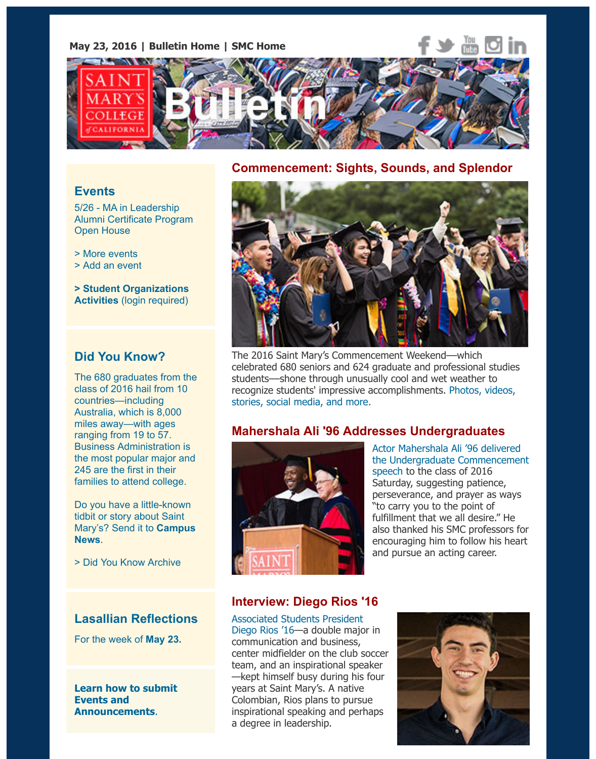

#### **Commencement: Sights, Sounds, and Splendor**

#### **Events**

5/26 - MA in Leadership Alumni Certificate Program Open House

> More events

> Add an event

**> Student Organizations Activities** [\(login required\)](https://www.stmarys-ca.edu/ma-in-leadership-alumni-certificate-program-open-house-may-26-2016?utm_source=Bulletin&utm_medium=email&utm_content=event_test&utm_campaign=05-23-16)

# **[Did You Kn](http://www.stmarys-ca.edu/events?utm_source=Bulletin&utm_medium=email&utm_content=event_test&utm_campaign=05-23-16)ow?**

[The 680 gradua](http://www.stmarys-ca.edu/node/add/calendar-event?utm_source=Bulletin&utm_medium=email&utm_content=event_test&utm_campaign=05-23-16)tes from the class of 2016 hail from 10 [countries—including](https://stmarys-ca-community.symplicity.com/) Australia, which is 8,000 miles away—with ages ranging from 19 to 57. Business Administration is the most popular major and 245 are the first in their families to attend college.

Do you have a little-known tidbit or story about Saint Mary's? Send it to **Campus News**.

> Did You Know Archive

#### **Lasallian Reflections**

[For the week of](mailto:news@stmarys-ca.edu) **May 23.**

**Learn how to submit Events and Announcements**.



The 2016 Saint Mary's Commencement Weekend––which celebrated 680 seniors and 624 graduate and professional studies students––shone through unusually cool and wet weather to recognize students' impressive accomplishments. Photos, videos stories, social media, and more.

### **Mahershala Ali '96 Addresses Undergraduates**



Actor Mahershala Ali '96 delive the Undergraduate Commence speech to the class of 2016 Saturday, suggesting patience, perseverance, and prayer as w "to carry you to the point of fulfillment that we all desire." H also thanked his SMC professo encouraging him to follow his I [and pursue an acting career.](https://www.youtube.com/watch?v=lc6_bmG7tYA)

# **Interview: Diego Rios '16**

Associated Students President Diego Rios '16—a double major in communication and business, center midfielder on the club soccer team, and an inspirational speaker —kept himself busy during his four years at Saint Mary's. A native Colombian, Rios plans to pursue inspirational speaking and perhaps [a degree in leadership.](https://www.stmarys-ca.edu/the-ripple-effect-of-passion?utm_source=Bulletin&utm_medium=email&utm_content=feature_test&utm_campaign=05-23-16)